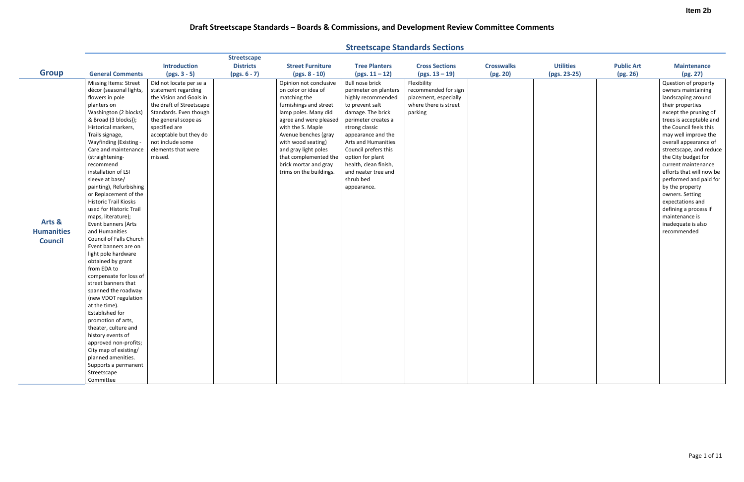|                   |                                             |                          | <b>Streetscape</b> |                                                  |                                              |                       |                   |                  |                   |                                            |
|-------------------|---------------------------------------------|--------------------------|--------------------|--------------------------------------------------|----------------------------------------------|-----------------------|-------------------|------------------|-------------------|--------------------------------------------|
|                   |                                             | <b>Introduction</b>      | <b>Districts</b>   | <b>Street Furniture</b>                          | <b>Tree Planters</b>                         | <b>Cross Sections</b> | <b>Crosswalks</b> | <b>Utilities</b> | <b>Public Art</b> | <b>Maintenance</b>                         |
| <b>Group</b>      | <b>General Comments</b>                     | $(pgs. 3 - 5)$           | $(pgs. 6 - 7)$     | $(pgs. 8 - 10)$                                  | $(pgs. 11 - 12)$                             | $(pgs. 13 - 19)$      | (pg. 20)          | (pgs. 23-25)     | (pg. 26)          | (pg. 27)                                   |
|                   | <b>Missing Items: Street</b>                | Did not locate per se a  |                    | Opinion not conclusive                           | <b>Bull nose brick</b>                       | Flexibility           |                   |                  |                   | Question of property                       |
|                   | décor (seasonal lights,                     | statement regarding      |                    | on color or idea of                              | perimeter on planters                        | recommended for sign  |                   |                  |                   | owners maintaining                         |
|                   | flowers in pole                             | the Vision and Goals in  |                    | matching the                                     | highly recommended                           | placement, especially |                   |                  |                   | landscaping around                         |
|                   | planters on                                 | the draft of Streetscape |                    | furnishings and street                           | to prevent salt                              | where there is street |                   |                  |                   | their properties                           |
|                   | Washington (2 blocks)                       | Standards. Even though   |                    | lamp poles. Many did                             | damage. The brick                            | parking               |                   |                  |                   | except the pruning of                      |
|                   | & Broad (3 blocks));                        | the general scope as     |                    | agree and were pleased                           | perimeter creates a                          |                       |                   |                  |                   | trees is acceptable and                    |
|                   | Historical markers,                         | specified are            |                    | with the S. Maple                                | strong classic                               |                       |                   |                  |                   | the Council feels this                     |
|                   | Trails signage,                             | acceptable but they do   |                    | Avenue benches (gray                             | appearance and the                           |                       |                   |                  |                   | may well improve the                       |
|                   | Wayfinding (Existing -                      | not include some         |                    | with wood seating)                               | Arts and Humanities                          |                       |                   |                  |                   | overall appearance of                      |
|                   | Care and maintenance                        | elements that were       |                    | and gray light poles                             | Council prefers this                         |                       |                   |                  |                   | streetscape, and reduce                    |
|                   | (straightening-<br>recommend                | missed.                  |                    | that complemented the                            | option for plant                             |                       |                   |                  |                   | the City budget for<br>current maintenance |
|                   | installation of LSI                         |                          |                    | brick mortar and gray<br>trims on the buildings. | health, clean finish,<br>and neater tree and |                       |                   |                  |                   | efforts that will now be                   |
|                   | sleeve at base/                             |                          |                    |                                                  | shrub bed                                    |                       |                   |                  |                   | performed and paid for                     |
|                   | painting), Refurbishing                     |                          |                    |                                                  | appearance.                                  |                       |                   |                  |                   | by the property                            |
|                   | or Replacement of the                       |                          |                    |                                                  |                                              |                       |                   |                  |                   | owners. Setting                            |
|                   | <b>Historic Trail Kiosks</b>                |                          |                    |                                                  |                                              |                       |                   |                  |                   | expectations and                           |
|                   | used for Historic Trail                     |                          |                    |                                                  |                                              |                       |                   |                  |                   | defining a process if                      |
|                   | maps, literature);                          |                          |                    |                                                  |                                              |                       |                   |                  |                   | maintenance is                             |
| Arts &            | Event banners (Arts                         |                          |                    |                                                  |                                              |                       |                   |                  |                   | inadequate is also                         |
| <b>Humanities</b> | and Humanities                              |                          |                    |                                                  |                                              |                       |                   |                  |                   | recommended                                |
| <b>Council</b>    | Council of Falls Church                     |                          |                    |                                                  |                                              |                       |                   |                  |                   |                                            |
|                   | Event banners are on                        |                          |                    |                                                  |                                              |                       |                   |                  |                   |                                            |
|                   | light pole hardware                         |                          |                    |                                                  |                                              |                       |                   |                  |                   |                                            |
|                   | obtained by grant                           |                          |                    |                                                  |                                              |                       |                   |                  |                   |                                            |
|                   | from EDA to                                 |                          |                    |                                                  |                                              |                       |                   |                  |                   |                                            |
|                   | compensate for loss of                      |                          |                    |                                                  |                                              |                       |                   |                  |                   |                                            |
|                   | street banners that                         |                          |                    |                                                  |                                              |                       |                   |                  |                   |                                            |
|                   | spanned the roadway<br>(new VDOT regulation |                          |                    |                                                  |                                              |                       |                   |                  |                   |                                            |
|                   | at the time).                               |                          |                    |                                                  |                                              |                       |                   |                  |                   |                                            |
|                   | <b>Established for</b>                      |                          |                    |                                                  |                                              |                       |                   |                  |                   |                                            |
|                   | promotion of arts,                          |                          |                    |                                                  |                                              |                       |                   |                  |                   |                                            |
|                   | theater, culture and                        |                          |                    |                                                  |                                              |                       |                   |                  |                   |                                            |
|                   | history events of                           |                          |                    |                                                  |                                              |                       |                   |                  |                   |                                            |
|                   | approved non-profits;                       |                          |                    |                                                  |                                              |                       |                   |                  |                   |                                            |
|                   | City map of existing/                       |                          |                    |                                                  |                                              |                       |                   |                  |                   |                                            |
|                   | planned amenities.                          |                          |                    |                                                  |                                              |                       |                   |                  |                   |                                            |
|                   | Supports a permanent                        |                          |                    |                                                  |                                              |                       |                   |                  |                   |                                            |
|                   | Streetscape                                 |                          |                    |                                                  |                                              |                       |                   |                  |                   |                                            |
|                   | Committee                                   |                          |                    |                                                  |                                              |                       |                   |                  |                   |                                            |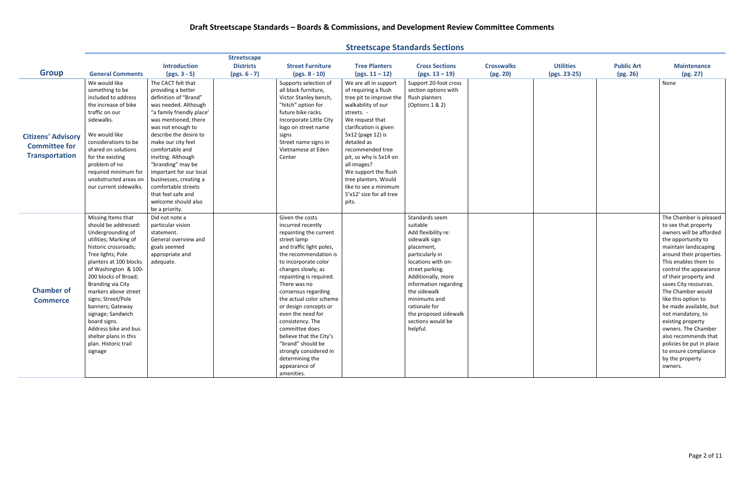|                                      |                         |                           | <b>Streetscape</b> |                          |                          |                       |                   |                  |                   |                          |
|--------------------------------------|-------------------------|---------------------------|--------------------|--------------------------|--------------------------|-----------------------|-------------------|------------------|-------------------|--------------------------|
| <b>Group</b>                         |                         | <b>Introduction</b>       | <b>Districts</b>   | <b>Street Furniture</b>  | <b>Tree Planters</b>     | <b>Cross Sections</b> | <b>Crosswalks</b> | <b>Utilities</b> | <b>Public Art</b> | <b>Maintenance</b>       |
|                                      | <b>General Comments</b> | $(pgs. 3 - 5)$            | $(pgs. 6 - 7)$     | $(pgs. 8 - 10)$          | $(pgs. 11 - 12)$         | $(pgs. 13 - 19)$      | (pg. 20)          | (pgs. 23-25)     | (pg. 26)          | (pg. 27)                 |
|                                      | We would like           | The CACT felt that        |                    | Supports selection of    | We are all in support    | Support 20-foot cross |                   |                  |                   | None                     |
|                                      | something to be         | providing a better        |                    | all black furniture,     | of requiring a flush     | section options with  |                   |                  |                   |                          |
|                                      | included to address     | definition of "Brand"     |                    | Victor Stanley bench     | tree pit to improve the  | flush planters        |                   |                  |                   |                          |
|                                      | the increase of bike    | was needed. Although      |                    | "hitch" option for       | walkability of our       | (Options 1 & 2)       |                   |                  |                   |                          |
|                                      | traffic on our          | "a family friendly place' |                    | future bike racks.       | streets. -               |                       |                   |                  |                   |                          |
|                                      | sidewalks.              | was mentioned, there      |                    | Incorporate Little City  | We request that          |                       |                   |                  |                   |                          |
|                                      |                         | was not enough to         |                    | logo on street name      | clarification is given   |                       |                   |                  |                   |                          |
| <b>Citizens' Advisory</b>            | We would like           | describe the desire to    |                    | signs                    | 5x12 (page 12) is        |                       |                   |                  |                   |                          |
| <b>Committee for</b>                 | considerations to be    | make our city feel        |                    | Street name signs in     | detailed as              |                       |                   |                  |                   |                          |
|                                      | shared on solutions     | comfortable and           |                    | Vietnamese at Eden       | recommended tree         |                       |                   |                  |                   |                          |
| <b>Transportation</b>                | for the existing        | inviting. Although        |                    | Center                   | pit, so why is 5x14 on   |                       |                   |                  |                   |                          |
|                                      | problem of no           | "branding" may be         |                    |                          | all images?              |                       |                   |                  |                   |                          |
|                                      | required minimum for    | important for our local   |                    |                          | We support the flush     |                       |                   |                  |                   |                          |
|                                      | unobstructed areas on   | businesses, creating a    |                    |                          | tree planters. Would     |                       |                   |                  |                   |                          |
|                                      | our current sidewalks.  | comfortable streets       |                    |                          | like to see a minimum    |                       |                   |                  |                   |                          |
|                                      |                         | that feel safe and        |                    |                          | 5'x12' size for all tree |                       |                   |                  |                   |                          |
|                                      |                         | welcome should also       |                    |                          | pits.                    |                       |                   |                  |                   |                          |
|                                      |                         | be a priority.            |                    |                          |                          |                       |                   |                  |                   |                          |
|                                      | Missing Items that      | Did not note a            |                    | Given the costs          |                          | Standards seem        |                   |                  |                   | The Chamber is pleased   |
|                                      | should be addressed:    | particular vision         |                    | incurred recently        |                          | suitable              |                   |                  |                   | to see that property     |
|                                      | Undergrounding of       | statement.                |                    | repainting the current   |                          | Add flexibility re:   |                   |                  |                   | owners will be afforded  |
| <b>Chamber of</b><br><b>Commerce</b> | utilities; Marking of   | General overview and      |                    | street lamp              |                          | sidewalk sign         |                   |                  |                   | the opportunity to       |
|                                      | historic crossroads;    | goals seemed              |                    | and traffic light poles, |                          | placement,            |                   |                  |                   | maintain landscaping     |
|                                      | Tree lights; Pole       | appropriate and           |                    | the recommendation is    |                          | particularly in       |                   |                  |                   | around their properties. |
|                                      | planters at 100 blocks  | adequate.                 |                    | to incorporate color     |                          | locations with on-    |                   |                  |                   | This enables them to     |
|                                      | of Washington & 100-    |                           |                    | changes slowly, as       |                          | street parking.       |                   |                  |                   | control the appearance   |
|                                      | 200 blocks of Broad;    |                           |                    | repainting is required.  |                          | Additionally, more    |                   |                  |                   | of their property and    |
|                                      | Branding via City       |                           |                    | There was no             |                          | information regarding |                   |                  |                   | saves City resources.    |
|                                      | markers above street    |                           |                    | consensus regarding      |                          | the sidewalk          |                   |                  |                   | The Chamber would        |
|                                      | signs; Street/Pole      |                           |                    | the actual color scheme  |                          | minimums and          |                   |                  |                   | like this option to      |
|                                      | banners; Gateway        |                           |                    | or design concepts or    |                          | rationale for         |                   |                  |                   | be made available, but   |
|                                      | signage; Sandwich       |                           |                    | even the need for        |                          | the proposed sidewalk |                   |                  |                   | not mandatory, to        |
|                                      | board signs.            |                           |                    | consistency. The         |                          | sections would be     |                   |                  |                   | existing property        |
|                                      | Address bike and bus    |                           |                    | committee does           |                          | helpful.              |                   |                  |                   | owners. The Chamber      |
|                                      | shelter plans in this   |                           |                    | believe that the City's  |                          |                       |                   |                  |                   | also recommends that     |
|                                      | plan. Historic trail    |                           |                    | "brand" should be        |                          |                       |                   |                  |                   | policies be put in place |
|                                      | signage                 |                           |                    | strongly considered in   |                          |                       |                   |                  |                   | to ensure compliance     |
|                                      |                         |                           |                    | determining the          |                          |                       |                   |                  |                   | by the property          |
|                                      |                         |                           |                    | appearance of            |                          |                       |                   |                  |                   | owners.                  |
|                                      |                         |                           |                    | amenities.               |                          |                       |                   |                  |                   |                          |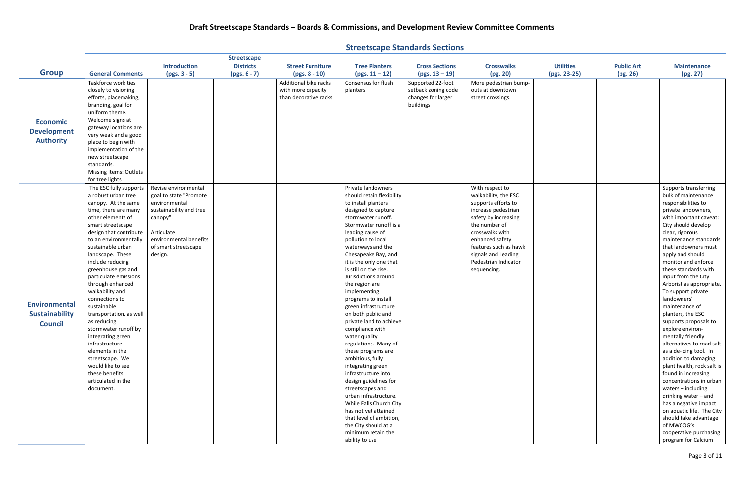| <b>Streetscape Standards Sections</b> |  |  |
|---------------------------------------|--|--|
|---------------------------------------|--|--|

|                       |                                   |                         | <b>Streetscape</b> |                         |                                        |                       |                       |                  |                   |                                                     |
|-----------------------|-----------------------------------|-------------------------|--------------------|-------------------------|----------------------------------------|-----------------------|-----------------------|------------------|-------------------|-----------------------------------------------------|
|                       |                                   | <b>Introduction</b>     | <b>Districts</b>   | <b>Street Furniture</b> | <b>Tree Planters</b>                   | <b>Cross Sections</b> | <b>Crosswalks</b>     | <b>Utilities</b> | <b>Public Art</b> | <b>Maintenance</b>                                  |
| <b>Group</b>          | <b>General Comments</b>           | $(pgs. 3 - 5)$          | $(pgs. 6 - 7)$     | $(pgs. 8 - 10)$         | $(pgs. 11-12)$                         | $(pgs. 13 - 19)$      | (pg. 20)              | (pgs. 23-25)     | (pg. 26)          | (pg. 27)                                            |
|                       | Taskforce work ties               |                         |                    | Additional bike racks   | Consensus for flush                    | Supported 22-foot     | More pedestrian bump- |                  |                   |                                                     |
|                       | closely to visioning              |                         |                    | with more capacity      | planters                               | setback zoning code   | outs at downtown      |                  |                   |                                                     |
|                       | efforts, placemaking,             |                         |                    | than decorative racks   |                                        | changes for larger    | street crossings.     |                  |                   |                                                     |
|                       | branding, goal for                |                         |                    |                         |                                        | buildings             |                       |                  |                   |                                                     |
|                       | uniform theme.                    |                         |                    |                         |                                        |                       |                       |                  |                   |                                                     |
| <b>Economic</b>       | Welcome signs at                  |                         |                    |                         |                                        |                       |                       |                  |                   |                                                     |
|                       | gateway locations are             |                         |                    |                         |                                        |                       |                       |                  |                   |                                                     |
| <b>Development</b>    | very weak and a good              |                         |                    |                         |                                        |                       |                       |                  |                   |                                                     |
| <b>Authority</b>      | place to begin with               |                         |                    |                         |                                        |                       |                       |                  |                   |                                                     |
|                       | implementation of the             |                         |                    |                         |                                        |                       |                       |                  |                   |                                                     |
|                       | new streetscape                   |                         |                    |                         |                                        |                       |                       |                  |                   |                                                     |
|                       | standards.                        |                         |                    |                         |                                        |                       |                       |                  |                   |                                                     |
|                       | Missing Items: Outlets            |                         |                    |                         |                                        |                       |                       |                  |                   |                                                     |
|                       | for tree lights                   |                         |                    |                         |                                        |                       |                       |                  |                   |                                                     |
|                       | The ESC fully supports            | Revise environmental    |                    |                         | Private landowners                     |                       | With respect to       |                  |                   | Supports transferring                               |
|                       | a robust urban tree               | goal to state "Promote  |                    |                         | should retain flexibility              |                       | walkability, the ESC  |                  |                   | bulk of maintenance                                 |
|                       | canopy. At the same               | environmental           |                    |                         | to install planters                    |                       | supports efforts to   |                  |                   | responsibilities to                                 |
|                       | time, there are many              | sustainability and tree |                    |                         | designed to capture                    |                       | increase pedestrian   |                  |                   | private landowners,                                 |
|                       | other elements of                 | canopy".                |                    |                         | stormwater runoff.                     |                       | safety by increasing  |                  |                   | with important caveat:                              |
|                       | smart streetscape                 |                         |                    |                         | Stormwater runoff is a                 |                       | the number of         |                  |                   | City should develop                                 |
|                       | design that contribute            | Articulate              |                    |                         | leading cause of                       |                       | crosswalks with       |                  |                   | clear, rigorous                                     |
|                       | to an environmentally             | environmental benefits  |                    |                         | pollution to local                     |                       | enhanced safety       |                  |                   | maintenance standards                               |
|                       | sustainable urban                 | of smart streetscape    |                    |                         | waterways and the                      |                       | features such as hawk |                  |                   | that landowners must                                |
|                       | landscape. These                  | design.                 |                    |                         | Chesapeake Bay, and                    |                       | signals and Leading   |                  |                   | apply and should                                    |
|                       | include reducing                  |                         |                    |                         | it is the only one that                |                       | Pedestrian Indicator  |                  |                   | monitor and enforce                                 |
|                       | greenhouse gas and                |                         |                    |                         | is still on the rise.                  |                       | sequencing.           |                  |                   | these standards with                                |
|                       | particulate emissions             |                         |                    |                         | Jurisdictions around                   |                       |                       |                  |                   | input from the City                                 |
|                       | through enhanced                  |                         |                    |                         | the region are                         |                       |                       |                  |                   | Arborist as appropriate.                            |
|                       | walkability and                   |                         |                    |                         | implementing                           |                       |                       |                  |                   | To support private                                  |
| <b>Environmental</b>  | connections to                    |                         |                    |                         | programs to install                    |                       |                       |                  |                   | landowners'                                         |
|                       | sustainable                       |                         |                    |                         | green infrastructure                   |                       |                       |                  |                   | maintenance of                                      |
| <b>Sustainability</b> | transportation, as well           |                         |                    |                         | on both public and                     |                       |                       |                  |                   | planters, the ESC                                   |
| <b>Council</b>        | as reducing                       |                         |                    |                         | private land to achieve                |                       |                       |                  |                   | supports proposals to                               |
|                       | stormwater runoff by              |                         |                    |                         | compliance with                        |                       |                       |                  |                   | explore environ-                                    |
|                       | integrating green                 |                         |                    |                         | water quality                          |                       |                       |                  |                   | mentally friendly                                   |
|                       | infrastructure<br>elements in the |                         |                    |                         | regulations. Many of                   |                       |                       |                  |                   | alternatives to road salt<br>as a de-icing tool. In |
|                       | streetscape. We                   |                         |                    |                         | these programs are<br>ambitious, fully |                       |                       |                  |                   | addition to damaging                                |
|                       | would like to see                 |                         |                    |                         | integrating green                      |                       |                       |                  |                   | plant health, rock salt is                          |
|                       | these benefits                    |                         |                    |                         | infrastructure into                    |                       |                       |                  |                   | found in increasing                                 |
|                       | articulated in the                |                         |                    |                         | design guidelines for                  |                       |                       |                  |                   | concentrations in urban                             |
|                       | document.                         |                         |                    |                         | streetscapes and                       |                       |                       |                  |                   | waters $-$ including                                |
|                       |                                   |                         |                    |                         | urban infrastructure.                  |                       |                       |                  |                   | drinking water - and                                |
|                       |                                   |                         |                    |                         | While Falls Church City                |                       |                       |                  |                   | has a negative impact                               |
|                       |                                   |                         |                    |                         | has not yet attained                   |                       |                       |                  |                   | on aquatic life. The City                           |
|                       |                                   |                         |                    |                         | that level of ambition,                |                       |                       |                  |                   | should take advantage                               |
|                       |                                   |                         |                    |                         | the City should at a                   |                       |                       |                  |                   | of MWCOG's                                          |
|                       |                                   |                         |                    |                         | minimum retain the                     |                       |                       |                  |                   | cooperative purchasing                              |
|                       |                                   |                         |                    |                         | ability to use                         |                       |                       |                  |                   | program for Calcium                                 |
|                       |                                   |                         |                    |                         |                                        |                       |                       |                  |                   |                                                     |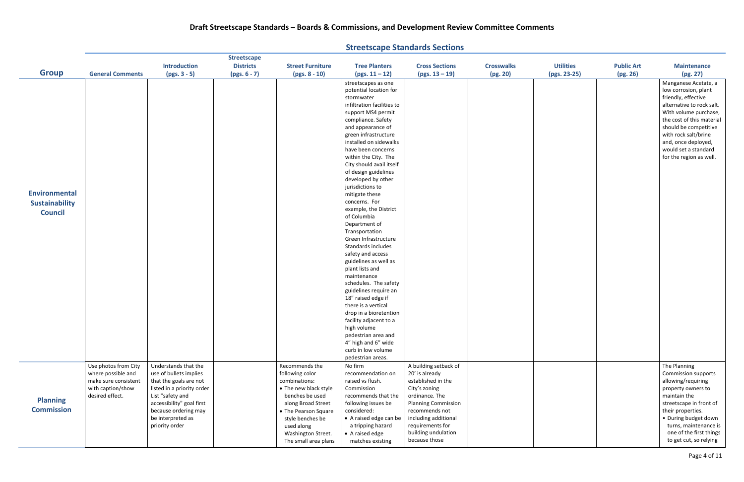**Group General Comments Introduction (pgs. 3 - 5) Streetscape Districts (pgs. 6 - 7) Street Furniture (pgs. 8 - 10) Tree Planters (pgs. 11 – 12) Cross Sections (pgs. 13 – 19) Crosswalks (pg. 20)** streetscapes as one potential location for stormwater infiltration facilities to support MS4 permit compliance. Safety and appearance of green infrastructure installed on sidewalks have been concerns within the City. The City should avail itself of design guidelines developed by other jurisdictions to mitigate these concerns. For example, the District of Columbia Department of Transportation Green Infrastructure Standards includes safety and access guidelines as well as plant lists and maintenance schedules. The safety guidelines require an 18" raised edge if there is a vertical drop in a bioretention facility adjacent to a high volume pedestrian area and 4" high and 6" wide curb in low volume pedestrian areas. **Planning Commission** Use photos from City where possible and make sure consistent with caption/show desired effect. Understands that the use of bullets implies that the goals are not listed in a priority order List "safety and accessibility" goal first because ordering may be interpreted as priority order Recommends the following color combinations: • The new black style benches be used along Broad Street • The Pearson Square style benches be used along Washington Street. The small area plans No firm recommendation on raised vs flush. Commission recommends that the following issues be considered: • A raised edge can be a tripping hazard • A raised edge matches existing A building setback of 20' is already established in the City's zoning ordinance. The Planning Commission recommends not including additional requirements for building undulation because those **Environmental Sustainability Council**

| <b>Utilities</b><br>(pgs. 23-25) | <b>Public Art</b><br>(pg. 26) | <b>Maintenance</b><br>(pg. 27)                                                                                                                                                                                                                                                    |
|----------------------------------|-------------------------------|-----------------------------------------------------------------------------------------------------------------------------------------------------------------------------------------------------------------------------------------------------------------------------------|
|                                  |                               | Manganese Acetate, a<br>low corrosion, plant<br>friendly, effective<br>alternative to rock salt.<br>With volume purchase,<br>the cost of this material<br>should be competitive<br>with rock salt/brine<br>and, once deployed,<br>would set a standard<br>for the region as well. |
|                                  |                               | The Planning<br>Commission supports<br>allowing/requiring<br>property owners to<br>maintain the<br>streetscape in front of<br>their properties.<br>· During budget down<br>turns, maintenance is<br>one of the first things<br>to get cut, so relying                             |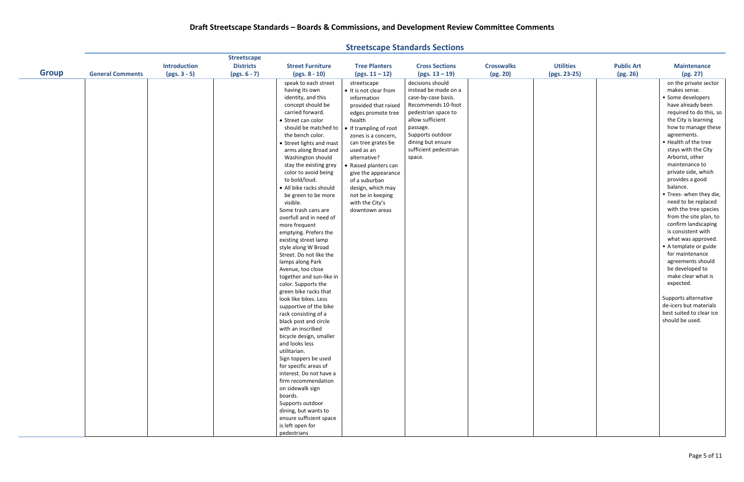|              |                         |                     | <b>Streetscape</b> |                                            |                        |                       |                   |                  |                   |                                                |
|--------------|-------------------------|---------------------|--------------------|--------------------------------------------|------------------------|-----------------------|-------------------|------------------|-------------------|------------------------------------------------|
|              |                         | <b>Introduction</b> | <b>Districts</b>   | <b>Street Furniture</b>                    | <b>Tree Planters</b>   | <b>Cross Sections</b> | <b>Crosswalks</b> | <b>Utilities</b> | <b>Public Art</b> | <b>Maintenance</b>                             |
| <b>Group</b> | <b>General Comments</b> | $(pgs. 3 - 5)$      | $(pgs. 6 - 7)$     | $(pgs. 8 - 10)$                            | $(pgs. 11 - 12)$       | $(pgs. 13 - 19)$      | (pg. 20)          | (pgs. 23-25)     | (pg. 26)          | (pg. 27)                                       |
|              |                         |                     |                    | speak to each street                       | streetscape            | decisions should      |                   |                  |                   | on the private sector                          |
|              |                         |                     |                    | having its own                             | • It is not clear from | instead be made on a  |                   |                  |                   | makes sense.                                   |
|              |                         |                     |                    | identity, and this                         | information            | case-by-case basis.   |                   |                  |                   | • Some developers                              |
|              |                         |                     |                    | concept should be                          | provided that raised   | Recommends 10-foot    |                   |                  |                   | have already been                              |
|              |                         |                     |                    | carried forward.                           | edges promote tree     | pedestrian space to   |                   |                  |                   | required to do this, so                        |
|              |                         |                     |                    | • Street can color                         | health                 | allow sufficient      |                   |                  |                   | the City is learning                           |
|              |                         |                     |                    | should be matched to                       | • If trampling of root | passage.              |                   |                  |                   | how to manage these                            |
|              |                         |                     |                    | the bench color.                           | zones is a concern,    | Supports outdoor      |                   |                  |                   | agreements.                                    |
|              |                         |                     |                    | • Street lights and mast                   | can tree grates be     | dining but ensure     |                   |                  |                   | • Health of the tree                           |
|              |                         |                     |                    | arms along Broad and                       | used as an             | sufficient pedestrian |                   |                  |                   | stays with the City                            |
|              |                         |                     |                    | Washington should                          | alternative?           | space.                |                   |                  |                   | Arborist, other                                |
|              |                         |                     |                    | stay the existing grey                     | • Raised planters can  |                       |                   |                  |                   | maintenance to                                 |
|              |                         |                     |                    | color to avoid being                       | give the appearance    |                       |                   |                  |                   | private side, which                            |
|              |                         |                     |                    | to bold/loud.                              | of a suburban          |                       |                   |                  |                   | provides a good                                |
|              |                         |                     |                    | · All bike racks should                    | design, which may      |                       |                   |                  |                   | balance.                                       |
|              |                         |                     |                    | be green to be more                        | not be in keeping      |                       |                   |                  |                   | • Trees- when they die,                        |
|              |                         |                     |                    | visible.                                   | with the City's        |                       |                   |                  |                   | need to be replaced                            |
|              |                         |                     |                    | Some trash cans are                        | downtown areas         |                       |                   |                  |                   | with the tree species                          |
|              |                         |                     |                    | overfull and in need of                    |                        |                       |                   |                  |                   | from the site plan, to                         |
|              |                         |                     |                    | more frequent                              |                        |                       |                   |                  |                   | confirm landscaping                            |
|              |                         |                     |                    | emptying. Prefers the                      |                        |                       |                   |                  |                   | is consistent with                             |
|              |                         |                     |                    | existing street lamp                       |                        |                       |                   |                  |                   | what was approved.                             |
|              |                         |                     |                    | style along W Broad                        |                        |                       |                   |                  |                   | • A template or guide                          |
|              |                         |                     |                    | Street. Do not like the                    |                        |                       |                   |                  |                   | for maintenance                                |
|              |                         |                     |                    | lamps along Park                           |                        |                       |                   |                  |                   | agreements should                              |
|              |                         |                     |                    | Avenue, too close                          |                        |                       |                   |                  |                   | be developed to                                |
|              |                         |                     |                    | together and sun-like in                   |                        |                       |                   |                  |                   | make clear what is                             |
|              |                         |                     |                    | color. Supports the                        |                        |                       |                   |                  |                   | expected.                                      |
|              |                         |                     |                    | green bike racks that                      |                        |                       |                   |                  |                   |                                                |
|              |                         |                     |                    | look like bikes. Less                      |                        |                       |                   |                  |                   | Supports alternative<br>de-icers but materials |
|              |                         |                     |                    | supportive of the bike                     |                        |                       |                   |                  |                   | best suited to clear ice                       |
|              |                         |                     |                    | rack consisting of a                       |                        |                       |                   |                  |                   | should be used.                                |
|              |                         |                     |                    | black post and circle<br>with an inscribed |                        |                       |                   |                  |                   |                                                |
|              |                         |                     |                    | bicycle design, smaller                    |                        |                       |                   |                  |                   |                                                |
|              |                         |                     |                    | and looks less                             |                        |                       |                   |                  |                   |                                                |
|              |                         |                     |                    | utilitarian.                               |                        |                       |                   |                  |                   |                                                |
|              |                         |                     |                    | Sign toppers be used                       |                        |                       |                   |                  |                   |                                                |
|              |                         |                     |                    | for specific areas of                      |                        |                       |                   |                  |                   |                                                |
|              |                         |                     |                    | interest. Do not have a                    |                        |                       |                   |                  |                   |                                                |
|              |                         |                     |                    | firm recommendation                        |                        |                       |                   |                  |                   |                                                |
|              |                         |                     |                    | on sidewalk sign                           |                        |                       |                   |                  |                   |                                                |
|              |                         |                     |                    | boards.                                    |                        |                       |                   |                  |                   |                                                |
|              |                         |                     |                    | Supports outdoor                           |                        |                       |                   |                  |                   |                                                |
|              |                         |                     |                    | dining, but wants to                       |                        |                       |                   |                  |                   |                                                |
|              |                         |                     |                    | ensure sufficient space                    |                        |                       |                   |                  |                   |                                                |
|              |                         |                     |                    | is left open for                           |                        |                       |                   |                  |                   |                                                |
|              |                         |                     |                    | pedestrians                                |                        |                       |                   |                  |                   |                                                |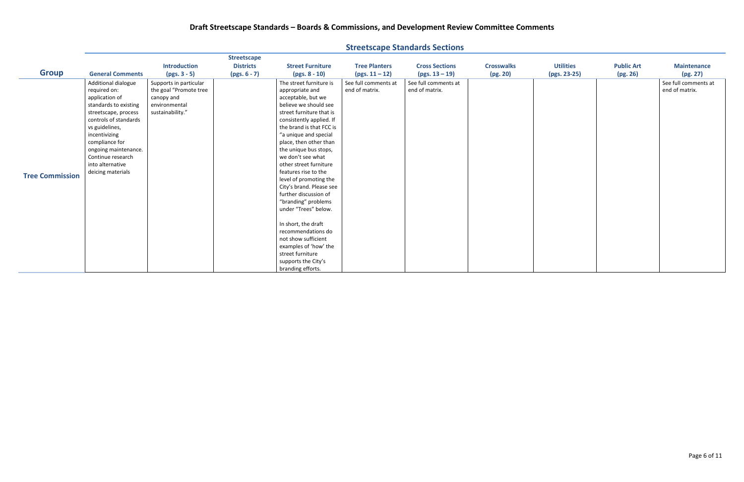|                        |                                                                                                                                                                                                                                                                            |                                                                                                     |                                                          |                                                                                                                                                                                                                                                                                                                                                                                                                                                                                                                                                                                                                             |                                          | <b>Streetscape Standards Sections</b>     |                               |                                  |                               |                                        |
|------------------------|----------------------------------------------------------------------------------------------------------------------------------------------------------------------------------------------------------------------------------------------------------------------------|-----------------------------------------------------------------------------------------------------|----------------------------------------------------------|-----------------------------------------------------------------------------------------------------------------------------------------------------------------------------------------------------------------------------------------------------------------------------------------------------------------------------------------------------------------------------------------------------------------------------------------------------------------------------------------------------------------------------------------------------------------------------------------------------------------------------|------------------------------------------|-------------------------------------------|-------------------------------|----------------------------------|-------------------------------|----------------------------------------|
| <b>Group</b>           | <b>General Comments</b>                                                                                                                                                                                                                                                    | <b>Introduction</b><br>$(pgs. 3 - 5)$                                                               | <b>Streetscape</b><br><b>Districts</b><br>$(pgs. 6 - 7)$ | <b>Street Furniture</b><br>$(pgs. 8 - 10)$                                                                                                                                                                                                                                                                                                                                                                                                                                                                                                                                                                                  | <b>Tree Planters</b><br>$(pgs. 11 - 12)$ | <b>Cross Sections</b><br>$(pgs. 13 - 19)$ | <b>Crosswalks</b><br>(pg. 20) | <b>Utilities</b><br>(pgs. 23-25) | <b>Public Art</b><br>(pg. 26) | <b>Maintenance</b><br>(pg. 27)         |
| <b>Tree Commission</b> | Additional dialogue<br>required on:<br>application of<br>standards to existing<br>streetscape, process<br>controls of standards<br>vs guidelines,<br>incentivizing<br>compliance for<br>ongoing maintenance.<br>Continue research<br>into alternative<br>deicing materials | Supports in particular<br>the goal "Promote tree<br>canopy and<br>environmental<br>sustainability." |                                                          | The street furniture is<br>appropriate and<br>acceptable, but we<br>believe we should see<br>street furniture that is<br>consistently applied. If<br>the brand is that FCC is<br>"a unique and special<br>place, then other than<br>the unique bus stops,<br>we don't see what<br>other street furniture<br>features rise to the<br>level of promoting the<br>City's brand. Please see<br>further discussion of<br>"branding" problems<br>under "Trees" below.<br>In short, the draft<br>recommendations do<br>not show sufficient<br>examples of 'how' the<br>street furniture<br>supports the City's<br>branding efforts. | See full comments at<br>end of matrix.   | See full comments at<br>end of matrix.    |                               |                                  |                               | See full comments at<br>end of matrix. |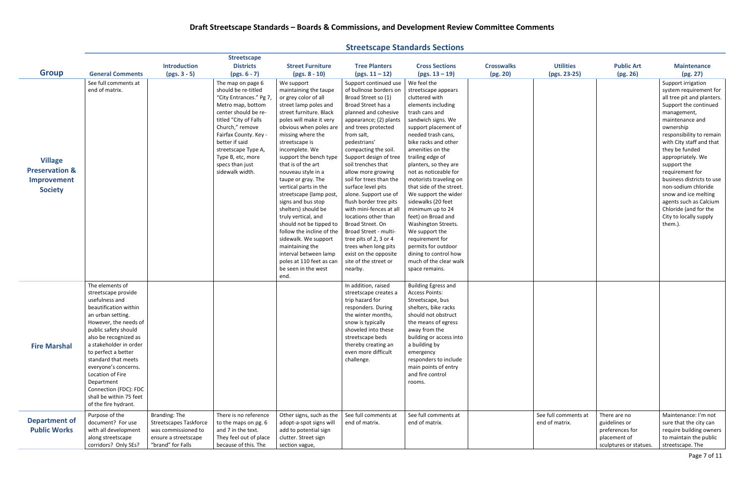| <b>Introduction</b><br><b>Districts</b><br><b>Tree Planters</b><br><b>Utilities</b><br><b>Public Art</b><br><b>Street Furniture</b><br><b>Cross Sections</b><br><b>Crosswalks</b><br><b>Maintenance</b><br><b>Group</b><br>(pg. 20)<br><b>General Comments</b><br>$(pgs. 3 - 5)$<br>$(pgs. 6 - 7)$<br>$(pgs. 8 - 10)$<br>$(pgs. 13 - 19)$<br>(pgs. 23-25)<br>(pg. 26)<br>(pg. 27)<br>$(pgs. 11 - 12)$<br>See full comments at<br>Support continued use<br>We feel the<br>Support irrigation<br>The map on page 6<br>We support<br>end of matrix.<br>should be re-titled<br>maintaining the taupe<br>of bullnose borders on<br>streetscape appears<br>"City Entrances." Pg 7,<br>or grey color of all<br>Broad Street so (1)<br>cluttered with<br>street lamp poles and<br>Broad Street has a<br>elements including<br>Support the continued<br>Metro map, bottom<br>center should be re-<br>street furniture. Black<br>planned and cohesive<br>trash cans and<br>management,<br>titled "City of Falls<br>poles will make it very<br>sandwich signs. We<br>maintenance and<br>appearance; (2) plants<br>Church," remove<br>obvious when poles are<br>and trees protected<br>support placement of<br>ownership<br>from salt,<br>Fairfax County. Key -<br>missing where the<br>needed trash cans,<br>better if said<br>bike racks and other<br>with City staff and that<br>pedestrians'<br>streetscape is<br>incomplete. We<br>amenities on the<br>they be funded<br>streetscape Type A,<br>compacting the soil.<br>trailing edge of<br>Type B, etc, more<br>support the bench type<br>Support design of tree<br>appropriately. We<br><b>Village</b><br>specs than just<br>that is of the art<br>soil trenches that<br>planters, so they are<br>support the<br><b>Preservation &amp;</b><br>sidewalk width.<br>not as noticeable for<br>requirement for<br>nouveau style in a<br>allow more growing<br>taupe or gray. The<br>soil for trees than the<br>motorists traveling on<br>Improvement<br>vertical parts in the<br>surface level pits<br>that side of the street.<br>non-sodium chloride<br><b>Society</b><br>alone. Support use of<br>We support the wider<br>snow and ice melting<br>streetscape (lamp post,<br>signs and bus stop<br>flush border tree pits<br>sidewalks (20 feet<br>agents such as Calcium<br>Chloride (and for the<br>shelters) should be<br>with mini-fences at all<br>minimum up to 24<br>truly vertical, and<br>City to locally supply<br>locations other than<br>feet) on Broad and<br>should not be tipped to<br>Broad Street. On<br>Washington Streets.<br>them.).<br>follow the incline of the<br>Broad Street - multi-<br>We support the<br>sidewalk. We support<br>requirement for<br>tree pits of 2, 3 or 4<br>maintaining the<br>permits for outdoor<br>trees when long pits<br>interval between lamp<br>dining to control how<br>exist on the opposite<br>much of the clear walk<br>poles at 110 feet as can<br>site of the street or<br>be seen in the west<br>nearby.<br>space remains.<br>end.<br>The elements of<br>In addition, raised<br><b>Building Egress and</b><br><b>Access Points:</b><br>streetscape provide<br>streetscape creates a<br>usefulness and<br>trip hazard for<br>Streetscape, bus<br>beautification within<br>shelters, bike racks<br>responders. During<br>should not obstruct<br>an urban setting.<br>the winter months,<br>However, the needs of<br>the means of egress<br>snow is typically<br>shoveled into these<br>away from the<br>public safety should<br>also be recognized as<br>building or access into<br>streetscape beds<br>a stakeholder in order<br>thereby creating an<br>a building by<br><b>Fire Marshal</b><br>even more difficult<br>to perfect a better<br>emergency<br>standard that meets<br>challenge.<br>responders to include<br>main points of entry<br>everyone's concerns.<br>and fire control<br>Location of Fire<br>Department<br>rooms.<br>Connection (FDC): FDC<br>shall be within 75 feet |                      | <b>Streetscape</b> |  |  |  |  |
|----------------------------------------------------------------------------------------------------------------------------------------------------------------------------------------------------------------------------------------------------------------------------------------------------------------------------------------------------------------------------------------------------------------------------------------------------------------------------------------------------------------------------------------------------------------------------------------------------------------------------------------------------------------------------------------------------------------------------------------------------------------------------------------------------------------------------------------------------------------------------------------------------------------------------------------------------------------------------------------------------------------------------------------------------------------------------------------------------------------------------------------------------------------------------------------------------------------------------------------------------------------------------------------------------------------------------------------------------------------------------------------------------------------------------------------------------------------------------------------------------------------------------------------------------------------------------------------------------------------------------------------------------------------------------------------------------------------------------------------------------------------------------------------------------------------------------------------------------------------------------------------------------------------------------------------------------------------------------------------------------------------------------------------------------------------------------------------------------------------------------------------------------------------------------------------------------------------------------------------------------------------------------------------------------------------------------------------------------------------------------------------------------------------------------------------------------------------------------------------------------------------------------------------------------------------------------------------------------------------------------------------------------------------------------------------------------------------------------------------------------------------------------------------------------------------------------------------------------------------------------------------------------------------------------------------------------------------------------------------------------------------------------------------------------------------------------------------------------------------------------------------------------------------------------------------------------------------------------------------------------------------------------------------------------------------------------------------------------------------------------------------------------------------------------------------------------------------------------------------------------------------------------------------------------------------------------------------------------------------------------------------------------------------------------------------------------------------------------------------------------------------------------------------------------------------------------------------------------------------------------------------------------------------------------------------------------------------------------------------------|----------------------|--------------------|--|--|--|--|
|                                                                                                                                                                                                                                                                                                                                                                                                                                                                                                                                                                                                                                                                                                                                                                                                                                                                                                                                                                                                                                                                                                                                                                                                                                                                                                                                                                                                                                                                                                                                                                                                                                                                                                                                                                                                                                                                                                                                                                                                                                                                                                                                                                                                                                                                                                                                                                                                                                                                                                                                                                                                                                                                                                                                                                                                                                                                                                                                                                                                                                                                                                                                                                                                                                                                                                                                                                                                                                                                                                                                                                                                                                                                                                                                                                                                                                                                                                                                                                                              |                      |                    |  |  |  |  |
|                                                                                                                                                                                                                                                                                                                                                                                                                                                                                                                                                                                                                                                                                                                                                                                                                                                                                                                                                                                                                                                                                                                                                                                                                                                                                                                                                                                                                                                                                                                                                                                                                                                                                                                                                                                                                                                                                                                                                                                                                                                                                                                                                                                                                                                                                                                                                                                                                                                                                                                                                                                                                                                                                                                                                                                                                                                                                                                                                                                                                                                                                                                                                                                                                                                                                                                                                                                                                                                                                                                                                                                                                                                                                                                                                                                                                                                                                                                                                                                              |                      |                    |  |  |  |  |
| system requirement for<br>all tree pit and planters.<br>responsibility to remain<br>business districts to use                                                                                                                                                                                                                                                                                                                                                                                                                                                                                                                                                                                                                                                                                                                                                                                                                                                                                                                                                                                                                                                                                                                                                                                                                                                                                                                                                                                                                                                                                                                                                                                                                                                                                                                                                                                                                                                                                                                                                                                                                                                                                                                                                                                                                                                                                                                                                                                                                                                                                                                                                                                                                                                                                                                                                                                                                                                                                                                                                                                                                                                                                                                                                                                                                                                                                                                                                                                                                                                                                                                                                                                                                                                                                                                                                                                                                                                                                |                      |                    |  |  |  |  |
|                                                                                                                                                                                                                                                                                                                                                                                                                                                                                                                                                                                                                                                                                                                                                                                                                                                                                                                                                                                                                                                                                                                                                                                                                                                                                                                                                                                                                                                                                                                                                                                                                                                                                                                                                                                                                                                                                                                                                                                                                                                                                                                                                                                                                                                                                                                                                                                                                                                                                                                                                                                                                                                                                                                                                                                                                                                                                                                                                                                                                                                                                                                                                                                                                                                                                                                                                                                                                                                                                                                                                                                                                                                                                                                                                                                                                                                                                                                                                                                              |                      |                    |  |  |  |  |
|                                                                                                                                                                                                                                                                                                                                                                                                                                                                                                                                                                                                                                                                                                                                                                                                                                                                                                                                                                                                                                                                                                                                                                                                                                                                                                                                                                                                                                                                                                                                                                                                                                                                                                                                                                                                                                                                                                                                                                                                                                                                                                                                                                                                                                                                                                                                                                                                                                                                                                                                                                                                                                                                                                                                                                                                                                                                                                                                                                                                                                                                                                                                                                                                                                                                                                                                                                                                                                                                                                                                                                                                                                                                                                                                                                                                                                                                                                                                                                                              |                      |                    |  |  |  |  |
|                                                                                                                                                                                                                                                                                                                                                                                                                                                                                                                                                                                                                                                                                                                                                                                                                                                                                                                                                                                                                                                                                                                                                                                                                                                                                                                                                                                                                                                                                                                                                                                                                                                                                                                                                                                                                                                                                                                                                                                                                                                                                                                                                                                                                                                                                                                                                                                                                                                                                                                                                                                                                                                                                                                                                                                                                                                                                                                                                                                                                                                                                                                                                                                                                                                                                                                                                                                                                                                                                                                                                                                                                                                                                                                                                                                                                                                                                                                                                                                              |                      |                    |  |  |  |  |
|                                                                                                                                                                                                                                                                                                                                                                                                                                                                                                                                                                                                                                                                                                                                                                                                                                                                                                                                                                                                                                                                                                                                                                                                                                                                                                                                                                                                                                                                                                                                                                                                                                                                                                                                                                                                                                                                                                                                                                                                                                                                                                                                                                                                                                                                                                                                                                                                                                                                                                                                                                                                                                                                                                                                                                                                                                                                                                                                                                                                                                                                                                                                                                                                                                                                                                                                                                                                                                                                                                                                                                                                                                                                                                                                                                                                                                                                                                                                                                                              |                      |                    |  |  |  |  |
|                                                                                                                                                                                                                                                                                                                                                                                                                                                                                                                                                                                                                                                                                                                                                                                                                                                                                                                                                                                                                                                                                                                                                                                                                                                                                                                                                                                                                                                                                                                                                                                                                                                                                                                                                                                                                                                                                                                                                                                                                                                                                                                                                                                                                                                                                                                                                                                                                                                                                                                                                                                                                                                                                                                                                                                                                                                                                                                                                                                                                                                                                                                                                                                                                                                                                                                                                                                                                                                                                                                                                                                                                                                                                                                                                                                                                                                                                                                                                                                              |                      |                    |  |  |  |  |
|                                                                                                                                                                                                                                                                                                                                                                                                                                                                                                                                                                                                                                                                                                                                                                                                                                                                                                                                                                                                                                                                                                                                                                                                                                                                                                                                                                                                                                                                                                                                                                                                                                                                                                                                                                                                                                                                                                                                                                                                                                                                                                                                                                                                                                                                                                                                                                                                                                                                                                                                                                                                                                                                                                                                                                                                                                                                                                                                                                                                                                                                                                                                                                                                                                                                                                                                                                                                                                                                                                                                                                                                                                                                                                                                                                                                                                                                                                                                                                                              |                      |                    |  |  |  |  |
|                                                                                                                                                                                                                                                                                                                                                                                                                                                                                                                                                                                                                                                                                                                                                                                                                                                                                                                                                                                                                                                                                                                                                                                                                                                                                                                                                                                                                                                                                                                                                                                                                                                                                                                                                                                                                                                                                                                                                                                                                                                                                                                                                                                                                                                                                                                                                                                                                                                                                                                                                                                                                                                                                                                                                                                                                                                                                                                                                                                                                                                                                                                                                                                                                                                                                                                                                                                                                                                                                                                                                                                                                                                                                                                                                                                                                                                                                                                                                                                              |                      |                    |  |  |  |  |
|                                                                                                                                                                                                                                                                                                                                                                                                                                                                                                                                                                                                                                                                                                                                                                                                                                                                                                                                                                                                                                                                                                                                                                                                                                                                                                                                                                                                                                                                                                                                                                                                                                                                                                                                                                                                                                                                                                                                                                                                                                                                                                                                                                                                                                                                                                                                                                                                                                                                                                                                                                                                                                                                                                                                                                                                                                                                                                                                                                                                                                                                                                                                                                                                                                                                                                                                                                                                                                                                                                                                                                                                                                                                                                                                                                                                                                                                                                                                                                                              |                      |                    |  |  |  |  |
|                                                                                                                                                                                                                                                                                                                                                                                                                                                                                                                                                                                                                                                                                                                                                                                                                                                                                                                                                                                                                                                                                                                                                                                                                                                                                                                                                                                                                                                                                                                                                                                                                                                                                                                                                                                                                                                                                                                                                                                                                                                                                                                                                                                                                                                                                                                                                                                                                                                                                                                                                                                                                                                                                                                                                                                                                                                                                                                                                                                                                                                                                                                                                                                                                                                                                                                                                                                                                                                                                                                                                                                                                                                                                                                                                                                                                                                                                                                                                                                              |                      |                    |  |  |  |  |
|                                                                                                                                                                                                                                                                                                                                                                                                                                                                                                                                                                                                                                                                                                                                                                                                                                                                                                                                                                                                                                                                                                                                                                                                                                                                                                                                                                                                                                                                                                                                                                                                                                                                                                                                                                                                                                                                                                                                                                                                                                                                                                                                                                                                                                                                                                                                                                                                                                                                                                                                                                                                                                                                                                                                                                                                                                                                                                                                                                                                                                                                                                                                                                                                                                                                                                                                                                                                                                                                                                                                                                                                                                                                                                                                                                                                                                                                                                                                                                                              |                      |                    |  |  |  |  |
|                                                                                                                                                                                                                                                                                                                                                                                                                                                                                                                                                                                                                                                                                                                                                                                                                                                                                                                                                                                                                                                                                                                                                                                                                                                                                                                                                                                                                                                                                                                                                                                                                                                                                                                                                                                                                                                                                                                                                                                                                                                                                                                                                                                                                                                                                                                                                                                                                                                                                                                                                                                                                                                                                                                                                                                                                                                                                                                                                                                                                                                                                                                                                                                                                                                                                                                                                                                                                                                                                                                                                                                                                                                                                                                                                                                                                                                                                                                                                                                              |                      |                    |  |  |  |  |
|                                                                                                                                                                                                                                                                                                                                                                                                                                                                                                                                                                                                                                                                                                                                                                                                                                                                                                                                                                                                                                                                                                                                                                                                                                                                                                                                                                                                                                                                                                                                                                                                                                                                                                                                                                                                                                                                                                                                                                                                                                                                                                                                                                                                                                                                                                                                                                                                                                                                                                                                                                                                                                                                                                                                                                                                                                                                                                                                                                                                                                                                                                                                                                                                                                                                                                                                                                                                                                                                                                                                                                                                                                                                                                                                                                                                                                                                                                                                                                                              |                      |                    |  |  |  |  |
|                                                                                                                                                                                                                                                                                                                                                                                                                                                                                                                                                                                                                                                                                                                                                                                                                                                                                                                                                                                                                                                                                                                                                                                                                                                                                                                                                                                                                                                                                                                                                                                                                                                                                                                                                                                                                                                                                                                                                                                                                                                                                                                                                                                                                                                                                                                                                                                                                                                                                                                                                                                                                                                                                                                                                                                                                                                                                                                                                                                                                                                                                                                                                                                                                                                                                                                                                                                                                                                                                                                                                                                                                                                                                                                                                                                                                                                                                                                                                                                              |                      |                    |  |  |  |  |
|                                                                                                                                                                                                                                                                                                                                                                                                                                                                                                                                                                                                                                                                                                                                                                                                                                                                                                                                                                                                                                                                                                                                                                                                                                                                                                                                                                                                                                                                                                                                                                                                                                                                                                                                                                                                                                                                                                                                                                                                                                                                                                                                                                                                                                                                                                                                                                                                                                                                                                                                                                                                                                                                                                                                                                                                                                                                                                                                                                                                                                                                                                                                                                                                                                                                                                                                                                                                                                                                                                                                                                                                                                                                                                                                                                                                                                                                                                                                                                                              |                      |                    |  |  |  |  |
|                                                                                                                                                                                                                                                                                                                                                                                                                                                                                                                                                                                                                                                                                                                                                                                                                                                                                                                                                                                                                                                                                                                                                                                                                                                                                                                                                                                                                                                                                                                                                                                                                                                                                                                                                                                                                                                                                                                                                                                                                                                                                                                                                                                                                                                                                                                                                                                                                                                                                                                                                                                                                                                                                                                                                                                                                                                                                                                                                                                                                                                                                                                                                                                                                                                                                                                                                                                                                                                                                                                                                                                                                                                                                                                                                                                                                                                                                                                                                                                              |                      |                    |  |  |  |  |
|                                                                                                                                                                                                                                                                                                                                                                                                                                                                                                                                                                                                                                                                                                                                                                                                                                                                                                                                                                                                                                                                                                                                                                                                                                                                                                                                                                                                                                                                                                                                                                                                                                                                                                                                                                                                                                                                                                                                                                                                                                                                                                                                                                                                                                                                                                                                                                                                                                                                                                                                                                                                                                                                                                                                                                                                                                                                                                                                                                                                                                                                                                                                                                                                                                                                                                                                                                                                                                                                                                                                                                                                                                                                                                                                                                                                                                                                                                                                                                                              |                      |                    |  |  |  |  |
|                                                                                                                                                                                                                                                                                                                                                                                                                                                                                                                                                                                                                                                                                                                                                                                                                                                                                                                                                                                                                                                                                                                                                                                                                                                                                                                                                                                                                                                                                                                                                                                                                                                                                                                                                                                                                                                                                                                                                                                                                                                                                                                                                                                                                                                                                                                                                                                                                                                                                                                                                                                                                                                                                                                                                                                                                                                                                                                                                                                                                                                                                                                                                                                                                                                                                                                                                                                                                                                                                                                                                                                                                                                                                                                                                                                                                                                                                                                                                                                              |                      |                    |  |  |  |  |
|                                                                                                                                                                                                                                                                                                                                                                                                                                                                                                                                                                                                                                                                                                                                                                                                                                                                                                                                                                                                                                                                                                                                                                                                                                                                                                                                                                                                                                                                                                                                                                                                                                                                                                                                                                                                                                                                                                                                                                                                                                                                                                                                                                                                                                                                                                                                                                                                                                                                                                                                                                                                                                                                                                                                                                                                                                                                                                                                                                                                                                                                                                                                                                                                                                                                                                                                                                                                                                                                                                                                                                                                                                                                                                                                                                                                                                                                                                                                                                                              |                      |                    |  |  |  |  |
|                                                                                                                                                                                                                                                                                                                                                                                                                                                                                                                                                                                                                                                                                                                                                                                                                                                                                                                                                                                                                                                                                                                                                                                                                                                                                                                                                                                                                                                                                                                                                                                                                                                                                                                                                                                                                                                                                                                                                                                                                                                                                                                                                                                                                                                                                                                                                                                                                                                                                                                                                                                                                                                                                                                                                                                                                                                                                                                                                                                                                                                                                                                                                                                                                                                                                                                                                                                                                                                                                                                                                                                                                                                                                                                                                                                                                                                                                                                                                                                              |                      |                    |  |  |  |  |
|                                                                                                                                                                                                                                                                                                                                                                                                                                                                                                                                                                                                                                                                                                                                                                                                                                                                                                                                                                                                                                                                                                                                                                                                                                                                                                                                                                                                                                                                                                                                                                                                                                                                                                                                                                                                                                                                                                                                                                                                                                                                                                                                                                                                                                                                                                                                                                                                                                                                                                                                                                                                                                                                                                                                                                                                                                                                                                                                                                                                                                                                                                                                                                                                                                                                                                                                                                                                                                                                                                                                                                                                                                                                                                                                                                                                                                                                                                                                                                                              |                      |                    |  |  |  |  |
|                                                                                                                                                                                                                                                                                                                                                                                                                                                                                                                                                                                                                                                                                                                                                                                                                                                                                                                                                                                                                                                                                                                                                                                                                                                                                                                                                                                                                                                                                                                                                                                                                                                                                                                                                                                                                                                                                                                                                                                                                                                                                                                                                                                                                                                                                                                                                                                                                                                                                                                                                                                                                                                                                                                                                                                                                                                                                                                                                                                                                                                                                                                                                                                                                                                                                                                                                                                                                                                                                                                                                                                                                                                                                                                                                                                                                                                                                                                                                                                              |                      |                    |  |  |  |  |
|                                                                                                                                                                                                                                                                                                                                                                                                                                                                                                                                                                                                                                                                                                                                                                                                                                                                                                                                                                                                                                                                                                                                                                                                                                                                                                                                                                                                                                                                                                                                                                                                                                                                                                                                                                                                                                                                                                                                                                                                                                                                                                                                                                                                                                                                                                                                                                                                                                                                                                                                                                                                                                                                                                                                                                                                                                                                                                                                                                                                                                                                                                                                                                                                                                                                                                                                                                                                                                                                                                                                                                                                                                                                                                                                                                                                                                                                                                                                                                                              |                      |                    |  |  |  |  |
|                                                                                                                                                                                                                                                                                                                                                                                                                                                                                                                                                                                                                                                                                                                                                                                                                                                                                                                                                                                                                                                                                                                                                                                                                                                                                                                                                                                                                                                                                                                                                                                                                                                                                                                                                                                                                                                                                                                                                                                                                                                                                                                                                                                                                                                                                                                                                                                                                                                                                                                                                                                                                                                                                                                                                                                                                                                                                                                                                                                                                                                                                                                                                                                                                                                                                                                                                                                                                                                                                                                                                                                                                                                                                                                                                                                                                                                                                                                                                                                              |                      |                    |  |  |  |  |
|                                                                                                                                                                                                                                                                                                                                                                                                                                                                                                                                                                                                                                                                                                                                                                                                                                                                                                                                                                                                                                                                                                                                                                                                                                                                                                                                                                                                                                                                                                                                                                                                                                                                                                                                                                                                                                                                                                                                                                                                                                                                                                                                                                                                                                                                                                                                                                                                                                                                                                                                                                                                                                                                                                                                                                                                                                                                                                                                                                                                                                                                                                                                                                                                                                                                                                                                                                                                                                                                                                                                                                                                                                                                                                                                                                                                                                                                                                                                                                                              |                      |                    |  |  |  |  |
|                                                                                                                                                                                                                                                                                                                                                                                                                                                                                                                                                                                                                                                                                                                                                                                                                                                                                                                                                                                                                                                                                                                                                                                                                                                                                                                                                                                                                                                                                                                                                                                                                                                                                                                                                                                                                                                                                                                                                                                                                                                                                                                                                                                                                                                                                                                                                                                                                                                                                                                                                                                                                                                                                                                                                                                                                                                                                                                                                                                                                                                                                                                                                                                                                                                                                                                                                                                                                                                                                                                                                                                                                                                                                                                                                                                                                                                                                                                                                                                              |                      |                    |  |  |  |  |
|                                                                                                                                                                                                                                                                                                                                                                                                                                                                                                                                                                                                                                                                                                                                                                                                                                                                                                                                                                                                                                                                                                                                                                                                                                                                                                                                                                                                                                                                                                                                                                                                                                                                                                                                                                                                                                                                                                                                                                                                                                                                                                                                                                                                                                                                                                                                                                                                                                                                                                                                                                                                                                                                                                                                                                                                                                                                                                                                                                                                                                                                                                                                                                                                                                                                                                                                                                                                                                                                                                                                                                                                                                                                                                                                                                                                                                                                                                                                                                                              |                      |                    |  |  |  |  |
|                                                                                                                                                                                                                                                                                                                                                                                                                                                                                                                                                                                                                                                                                                                                                                                                                                                                                                                                                                                                                                                                                                                                                                                                                                                                                                                                                                                                                                                                                                                                                                                                                                                                                                                                                                                                                                                                                                                                                                                                                                                                                                                                                                                                                                                                                                                                                                                                                                                                                                                                                                                                                                                                                                                                                                                                                                                                                                                                                                                                                                                                                                                                                                                                                                                                                                                                                                                                                                                                                                                                                                                                                                                                                                                                                                                                                                                                                                                                                                                              |                      |                    |  |  |  |  |
|                                                                                                                                                                                                                                                                                                                                                                                                                                                                                                                                                                                                                                                                                                                                                                                                                                                                                                                                                                                                                                                                                                                                                                                                                                                                                                                                                                                                                                                                                                                                                                                                                                                                                                                                                                                                                                                                                                                                                                                                                                                                                                                                                                                                                                                                                                                                                                                                                                                                                                                                                                                                                                                                                                                                                                                                                                                                                                                                                                                                                                                                                                                                                                                                                                                                                                                                                                                                                                                                                                                                                                                                                                                                                                                                                                                                                                                                                                                                                                                              |                      |                    |  |  |  |  |
|                                                                                                                                                                                                                                                                                                                                                                                                                                                                                                                                                                                                                                                                                                                                                                                                                                                                                                                                                                                                                                                                                                                                                                                                                                                                                                                                                                                                                                                                                                                                                                                                                                                                                                                                                                                                                                                                                                                                                                                                                                                                                                                                                                                                                                                                                                                                                                                                                                                                                                                                                                                                                                                                                                                                                                                                                                                                                                                                                                                                                                                                                                                                                                                                                                                                                                                                                                                                                                                                                                                                                                                                                                                                                                                                                                                                                                                                                                                                                                                              |                      |                    |  |  |  |  |
|                                                                                                                                                                                                                                                                                                                                                                                                                                                                                                                                                                                                                                                                                                                                                                                                                                                                                                                                                                                                                                                                                                                                                                                                                                                                                                                                                                                                                                                                                                                                                                                                                                                                                                                                                                                                                                                                                                                                                                                                                                                                                                                                                                                                                                                                                                                                                                                                                                                                                                                                                                                                                                                                                                                                                                                                                                                                                                                                                                                                                                                                                                                                                                                                                                                                                                                                                                                                                                                                                                                                                                                                                                                                                                                                                                                                                                                                                                                                                                                              |                      |                    |  |  |  |  |
|                                                                                                                                                                                                                                                                                                                                                                                                                                                                                                                                                                                                                                                                                                                                                                                                                                                                                                                                                                                                                                                                                                                                                                                                                                                                                                                                                                                                                                                                                                                                                                                                                                                                                                                                                                                                                                                                                                                                                                                                                                                                                                                                                                                                                                                                                                                                                                                                                                                                                                                                                                                                                                                                                                                                                                                                                                                                                                                                                                                                                                                                                                                                                                                                                                                                                                                                                                                                                                                                                                                                                                                                                                                                                                                                                                                                                                                                                                                                                                                              |                      |                    |  |  |  |  |
|                                                                                                                                                                                                                                                                                                                                                                                                                                                                                                                                                                                                                                                                                                                                                                                                                                                                                                                                                                                                                                                                                                                                                                                                                                                                                                                                                                                                                                                                                                                                                                                                                                                                                                                                                                                                                                                                                                                                                                                                                                                                                                                                                                                                                                                                                                                                                                                                                                                                                                                                                                                                                                                                                                                                                                                                                                                                                                                                                                                                                                                                                                                                                                                                                                                                                                                                                                                                                                                                                                                                                                                                                                                                                                                                                                                                                                                                                                                                                                                              |                      |                    |  |  |  |  |
|                                                                                                                                                                                                                                                                                                                                                                                                                                                                                                                                                                                                                                                                                                                                                                                                                                                                                                                                                                                                                                                                                                                                                                                                                                                                                                                                                                                                                                                                                                                                                                                                                                                                                                                                                                                                                                                                                                                                                                                                                                                                                                                                                                                                                                                                                                                                                                                                                                                                                                                                                                                                                                                                                                                                                                                                                                                                                                                                                                                                                                                                                                                                                                                                                                                                                                                                                                                                                                                                                                                                                                                                                                                                                                                                                                                                                                                                                                                                                                                              |                      |                    |  |  |  |  |
|                                                                                                                                                                                                                                                                                                                                                                                                                                                                                                                                                                                                                                                                                                                                                                                                                                                                                                                                                                                                                                                                                                                                                                                                                                                                                                                                                                                                                                                                                                                                                                                                                                                                                                                                                                                                                                                                                                                                                                                                                                                                                                                                                                                                                                                                                                                                                                                                                                                                                                                                                                                                                                                                                                                                                                                                                                                                                                                                                                                                                                                                                                                                                                                                                                                                                                                                                                                                                                                                                                                                                                                                                                                                                                                                                                                                                                                                                                                                                                                              |                      |                    |  |  |  |  |
|                                                                                                                                                                                                                                                                                                                                                                                                                                                                                                                                                                                                                                                                                                                                                                                                                                                                                                                                                                                                                                                                                                                                                                                                                                                                                                                                                                                                                                                                                                                                                                                                                                                                                                                                                                                                                                                                                                                                                                                                                                                                                                                                                                                                                                                                                                                                                                                                                                                                                                                                                                                                                                                                                                                                                                                                                                                                                                                                                                                                                                                                                                                                                                                                                                                                                                                                                                                                                                                                                                                                                                                                                                                                                                                                                                                                                                                                                                                                                                                              |                      |                    |  |  |  |  |
|                                                                                                                                                                                                                                                                                                                                                                                                                                                                                                                                                                                                                                                                                                                                                                                                                                                                                                                                                                                                                                                                                                                                                                                                                                                                                                                                                                                                                                                                                                                                                                                                                                                                                                                                                                                                                                                                                                                                                                                                                                                                                                                                                                                                                                                                                                                                                                                                                                                                                                                                                                                                                                                                                                                                                                                                                                                                                                                                                                                                                                                                                                                                                                                                                                                                                                                                                                                                                                                                                                                                                                                                                                                                                                                                                                                                                                                                                                                                                                                              |                      |                    |  |  |  |  |
|                                                                                                                                                                                                                                                                                                                                                                                                                                                                                                                                                                                                                                                                                                                                                                                                                                                                                                                                                                                                                                                                                                                                                                                                                                                                                                                                                                                                                                                                                                                                                                                                                                                                                                                                                                                                                                                                                                                                                                                                                                                                                                                                                                                                                                                                                                                                                                                                                                                                                                                                                                                                                                                                                                                                                                                                                                                                                                                                                                                                                                                                                                                                                                                                                                                                                                                                                                                                                                                                                                                                                                                                                                                                                                                                                                                                                                                                                                                                                                                              |                      |                    |  |  |  |  |
|                                                                                                                                                                                                                                                                                                                                                                                                                                                                                                                                                                                                                                                                                                                                                                                                                                                                                                                                                                                                                                                                                                                                                                                                                                                                                                                                                                                                                                                                                                                                                                                                                                                                                                                                                                                                                                                                                                                                                                                                                                                                                                                                                                                                                                                                                                                                                                                                                                                                                                                                                                                                                                                                                                                                                                                                                                                                                                                                                                                                                                                                                                                                                                                                                                                                                                                                                                                                                                                                                                                                                                                                                                                                                                                                                                                                                                                                                                                                                                                              |                      |                    |  |  |  |  |
|                                                                                                                                                                                                                                                                                                                                                                                                                                                                                                                                                                                                                                                                                                                                                                                                                                                                                                                                                                                                                                                                                                                                                                                                                                                                                                                                                                                                                                                                                                                                                                                                                                                                                                                                                                                                                                                                                                                                                                                                                                                                                                                                                                                                                                                                                                                                                                                                                                                                                                                                                                                                                                                                                                                                                                                                                                                                                                                                                                                                                                                                                                                                                                                                                                                                                                                                                                                                                                                                                                                                                                                                                                                                                                                                                                                                                                                                                                                                                                                              |                      |                    |  |  |  |  |
|                                                                                                                                                                                                                                                                                                                                                                                                                                                                                                                                                                                                                                                                                                                                                                                                                                                                                                                                                                                                                                                                                                                                                                                                                                                                                                                                                                                                                                                                                                                                                                                                                                                                                                                                                                                                                                                                                                                                                                                                                                                                                                                                                                                                                                                                                                                                                                                                                                                                                                                                                                                                                                                                                                                                                                                                                                                                                                                                                                                                                                                                                                                                                                                                                                                                                                                                                                                                                                                                                                                                                                                                                                                                                                                                                                                                                                                                                                                                                                                              | of the fire hydrant. |                    |  |  |  |  |
|                                                                                                                                                                                                                                                                                                                                                                                                                                                                                                                                                                                                                                                                                                                                                                                                                                                                                                                                                                                                                                                                                                                                                                                                                                                                                                                                                                                                                                                                                                                                                                                                                                                                                                                                                                                                                                                                                                                                                                                                                                                                                                                                                                                                                                                                                                                                                                                                                                                                                                                                                                                                                                                                                                                                                                                                                                                                                                                                                                                                                                                                                                                                                                                                                                                                                                                                                                                                                                                                                                                                                                                                                                                                                                                                                                                                                                                                                                                                                                                              |                      |                    |  |  |  |  |
| There is no reference<br>See full comments at<br>See full comments at<br>Purpose of the<br>Branding: The<br>Other signs, such as the<br>See full comments at<br>There are no<br>Maintenance: I'm not<br><b>Department of</b><br>document? For use                                                                                                                                                                                                                                                                                                                                                                                                                                                                                                                                                                                                                                                                                                                                                                                                                                                                                                                                                                                                                                                                                                                                                                                                                                                                                                                                                                                                                                                                                                                                                                                                                                                                                                                                                                                                                                                                                                                                                                                                                                                                                                                                                                                                                                                                                                                                                                                                                                                                                                                                                                                                                                                                                                                                                                                                                                                                                                                                                                                                                                                                                                                                                                                                                                                                                                                                                                                                                                                                                                                                                                                                                                                                                                                                            |                      |                    |  |  |  |  |
| <b>Streetscapes Taskforce</b><br>end of matrix.<br>end of matrix.<br>guidelines or<br>sure that the city can<br>to the maps on pg. 6<br>adopt-a-spot signs will<br>end of matrix.<br><b>Public Works</b><br>require building owners<br>with all development<br>was commissioned to<br>add to potential sign<br>and 7 in the text.<br>preferences for                                                                                                                                                                                                                                                                                                                                                                                                                                                                                                                                                                                                                                                                                                                                                                                                                                                                                                                                                                                                                                                                                                                                                                                                                                                                                                                                                                                                                                                                                                                                                                                                                                                                                                                                                                                                                                                                                                                                                                                                                                                                                                                                                                                                                                                                                                                                                                                                                                                                                                                                                                                                                                                                                                                                                                                                                                                                                                                                                                                                                                                                                                                                                                                                                                                                                                                                                                                                                                                                                                                                                                                                                                         |                      |                    |  |  |  |  |
| to maintain the public<br>They feel out of place<br>ensure a streetscape<br>clutter. Street sign<br>placement of<br>along streetscape                                                                                                                                                                                                                                                                                                                                                                                                                                                                                                                                                                                                                                                                                                                                                                                                                                                                                                                                                                                                                                                                                                                                                                                                                                                                                                                                                                                                                                                                                                                                                                                                                                                                                                                                                                                                                                                                                                                                                                                                                                                                                                                                                                                                                                                                                                                                                                                                                                                                                                                                                                                                                                                                                                                                                                                                                                                                                                                                                                                                                                                                                                                                                                                                                                                                                                                                                                                                                                                                                                                                                                                                                                                                                                                                                                                                                                                        |                      |                    |  |  |  |  |
| corridors? Only SEs?<br>"brand" for Falls<br>because of this. The<br>streetscape. The<br>section vague,<br>sculptures or statues.                                                                                                                                                                                                                                                                                                                                                                                                                                                                                                                                                                                                                                                                                                                                                                                                                                                                                                                                                                                                                                                                                                                                                                                                                                                                                                                                                                                                                                                                                                                                                                                                                                                                                                                                                                                                                                                                                                                                                                                                                                                                                                                                                                                                                                                                                                                                                                                                                                                                                                                                                                                                                                                                                                                                                                                                                                                                                                                                                                                                                                                                                                                                                                                                                                                                                                                                                                                                                                                                                                                                                                                                                                                                                                                                                                                                                                                            |                      |                    |  |  |  |  |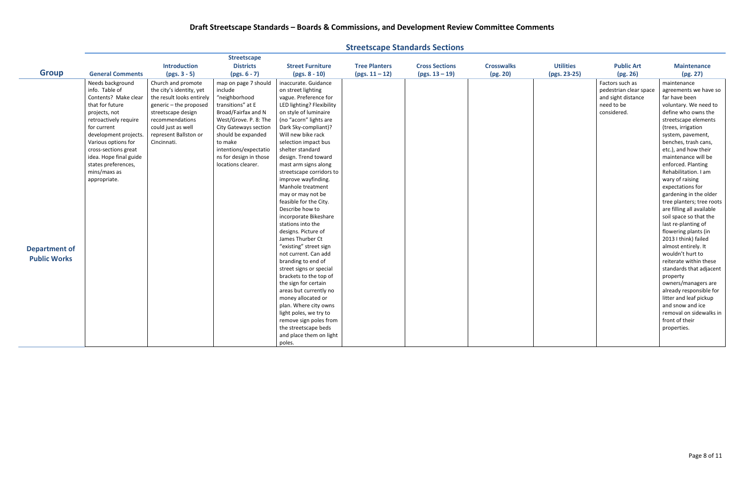| <b>Introduction</b><br><b>Districts</b><br><b>Utilities</b><br><b>Tree Planters</b><br><b>Cross Sections</b><br><b>Crosswalks</b><br><b>Public Art</b><br><b>Street Furniture</b><br><b>Group</b><br>(pg. 20)<br><b>General Comments</b><br>$(pgs. 3 - 5)$<br>$(pgs. 6 - 7)$<br>$(pgs. 8 - 10)$<br>$(pgs. 11-12)$<br>$(pgs. 13 - 19)$<br>(pgs. 23-25)<br>(pg. 26)<br>Needs background<br>Church and promote<br>map on page 7 should<br>Factors such as<br>inaccurate. Guidance<br>info. Table of<br>on street lighting<br>the city's identity, yet<br>include<br>pedestrian clear space<br>Contents? Make clear<br>the result looks entirely<br>"neighborhood<br>vague. Preference for<br>and sight distance<br>that for future<br>transitions" at E<br>LED lighting? Flexibility<br>generic - the proposed<br>need to be<br>considered.<br>Broad/Fairfax and N<br>on style of luminaire<br>projects, not<br>streetscape design<br>(no "acorn" lights are<br>retroactively require<br>recommendations<br>West/Grove. P. 8: The<br>could just as well<br>Dark Sky-compliant)?<br>for current<br><b>City Gateways section</b><br>should be expanded<br>Will new bike rack<br>development projects.<br>represent Ballston or<br>to make<br>Various options for<br>Cincinnati.<br>selection impact bus<br>intentions/expectatio<br>shelter standard<br>cross-sections great<br>idea. Hope final guide<br>ns for design in those<br>design. Trend toward<br>states preferences,<br>locations clearer.<br>mast arm signs along<br>mins/maxs as<br>streetscape corridors to<br>improve wayfinding.<br>appropriate.<br>Manhole treatment<br>may or may not be<br>feasible for the City.<br>Describe how to<br>incorporate Bikeshare<br>stations into the<br>designs. Picture of<br>James Thurber Ct<br>"existing" street sign<br><b>Department of</b><br>not current. Can add<br><b>Public Works</b><br>branding to end of<br>street signs or special<br>brackets to the top of<br>property<br>the sign for certain<br>areas but currently no<br>money allocated or |  | <b>Streetscape</b> |                       |  |  |                                                                                                                                                                                                                                                                                                                                                                                                                                                                                                                                                                                                                                                                                                                                                                        |
|-------------------------------------------------------------------------------------------------------------------------------------------------------------------------------------------------------------------------------------------------------------------------------------------------------------------------------------------------------------------------------------------------------------------------------------------------------------------------------------------------------------------------------------------------------------------------------------------------------------------------------------------------------------------------------------------------------------------------------------------------------------------------------------------------------------------------------------------------------------------------------------------------------------------------------------------------------------------------------------------------------------------------------------------------------------------------------------------------------------------------------------------------------------------------------------------------------------------------------------------------------------------------------------------------------------------------------------------------------------------------------------------------------------------------------------------------------------------------------------------------------------------------------------------------------------------------------------------------------------------------------------------------------------------------------------------------------------------------------------------------------------------------------------------------------------------------------------------------------------------------------------------------------------------------------------------------------------------------------------------------------------------------------------------------------------|--|--------------------|-----------------------|--|--|------------------------------------------------------------------------------------------------------------------------------------------------------------------------------------------------------------------------------------------------------------------------------------------------------------------------------------------------------------------------------------------------------------------------------------------------------------------------------------------------------------------------------------------------------------------------------------------------------------------------------------------------------------------------------------------------------------------------------------------------------------------------|
|                                                                                                                                                                                                                                                                                                                                                                                                                                                                                                                                                                                                                                                                                                                                                                                                                                                                                                                                                                                                                                                                                                                                                                                                                                                                                                                                                                                                                                                                                                                                                                                                                                                                                                                                                                                                                                                                                                                                                                                                                                                             |  |                    |                       |  |  | <b>Maintenance</b>                                                                                                                                                                                                                                                                                                                                                                                                                                                                                                                                                                                                                                                                                                                                                     |
|                                                                                                                                                                                                                                                                                                                                                                                                                                                                                                                                                                                                                                                                                                                                                                                                                                                                                                                                                                                                                                                                                                                                                                                                                                                                                                                                                                                                                                                                                                                                                                                                                                                                                                                                                                                                                                                                                                                                                                                                                                                             |  |                    |                       |  |  | (pg. 27)                                                                                                                                                                                                                                                                                                                                                                                                                                                                                                                                                                                                                                                                                                                                                               |
| light poles, we try to<br>remove sign poles from<br>the streetscape beds<br>properties.                                                                                                                                                                                                                                                                                                                                                                                                                                                                                                                                                                                                                                                                                                                                                                                                                                                                                                                                                                                                                                                                                                                                                                                                                                                                                                                                                                                                                                                                                                                                                                                                                                                                                                                                                                                                                                                                                                                                                                     |  |                    | plan. Where city owns |  |  | maintenance<br>agreements we have so<br>far have been<br>voluntary. We need to<br>define who owns the<br>streetscape elements<br>(trees, irrigation<br>system, pavement,<br>benches, trash cans,<br>etc.), and how their<br>maintenance will be<br>enforced. Planting<br>Rehabilitation. I am<br>wary of raising<br>expectations for<br>gardening in the older<br>tree planters; tree roots<br>are filling all available<br>soil space so that the<br>last re-planting of<br>flowering plants (in<br>2013 I think) failed<br>almost entirely. It<br>wouldn't hurt to<br>reiterate within these<br>standards that adjacent<br>owners/managers are<br>already responsible for<br>litter and leaf pickup<br>and snow and ice<br>removal on sidewalks in<br>front of their |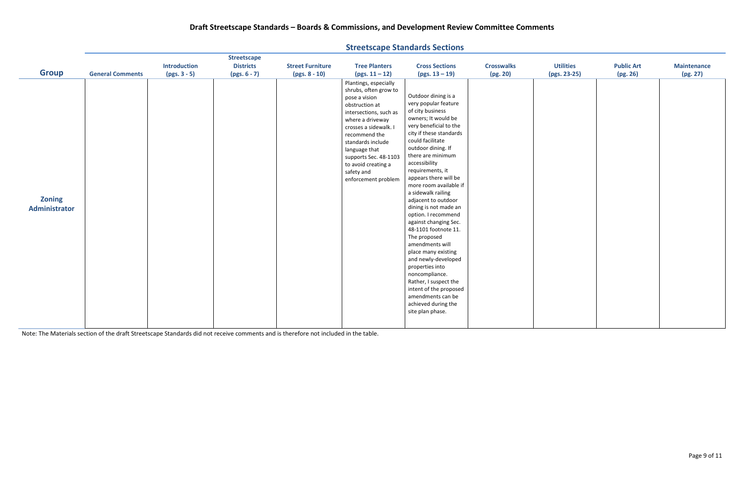| <b>Introduction</b><br><b>Districts</b><br><b>Utilities</b><br><b>Public Art</b><br><b>Street Furniture</b><br><b>Tree Planters</b><br><b>Cross Sections</b><br><b>Crosswalks</b><br><b>Maintenance</b><br><b>Group</b><br><b>General Comments</b><br>$(pgs. 3 - 5)$<br>$(pgs. 6 - 7)$<br>$(pgs. 13 - 19)$<br>(pg. 20)<br>(pg. 26)<br>(pg. 27)<br>$(pgs. 8 - 10)$<br>$(pgs. 11 - 12)$<br>(pgs. 23-25)<br>Plantings, especially<br>shrubs, often grow to<br>Outdoor dining is a<br>pose a vision<br>very popular feature<br>obstruction at<br>of city business<br>intersections, such as<br>owners; It would be<br>where a driveway<br>very beneficial to the<br>crosses a sidewalk. I<br>city if these standards<br>recommend the<br>could facilitate<br>standards include<br>outdoor dining. If<br>language that<br>there are minimum<br>supports Sec. 48-1103<br>accessibility<br>to avoid creating a<br>requirements, it<br>safety and<br>appears there will be<br>enforcement problem<br>more room available if<br>a sidewalk railing<br><b>Zoning</b><br>adjacent to outdoor<br>dining is not made an<br>Administrator<br>option. I recommend<br>against changing Sec.<br>48-1101 footnote 11.<br>The proposed<br>amendments will<br>place many existing<br>and newly-developed<br>properties into |  | <b>Streetscape</b> |  |                |  |  |
|---------------------------------------------------------------------------------------------------------------------------------------------------------------------------------------------------------------------------------------------------------------------------------------------------------------------------------------------------------------------------------------------------------------------------------------------------------------------------------------------------------------------------------------------------------------------------------------------------------------------------------------------------------------------------------------------------------------------------------------------------------------------------------------------------------------------------------------------------------------------------------------------------------------------------------------------------------------------------------------------------------------------------------------------------------------------------------------------------------------------------------------------------------------------------------------------------------------------------------------------------------------------------------------------------------|--|--------------------|--|----------------|--|--|
|                                                                                                                                                                                                                                                                                                                                                                                                                                                                                                                                                                                                                                                                                                                                                                                                                                                                                                                                                                                                                                                                                                                                                                                                                                                                                                         |  |                    |  |                |  |  |
|                                                                                                                                                                                                                                                                                                                                                                                                                                                                                                                                                                                                                                                                                                                                                                                                                                                                                                                                                                                                                                                                                                                                                                                                                                                                                                         |  |                    |  |                |  |  |
| Rather, I suspect the<br>intent of the proposed<br>amendments can be<br>achieved during the<br>site plan phase.                                                                                                                                                                                                                                                                                                                                                                                                                                                                                                                                                                                                                                                                                                                                                                                                                                                                                                                                                                                                                                                                                                                                                                                         |  |                    |  | noncompliance. |  |  |

Note: The Materials section of the draft Streetscape Standards did not receive comments and is therefore not included in the table.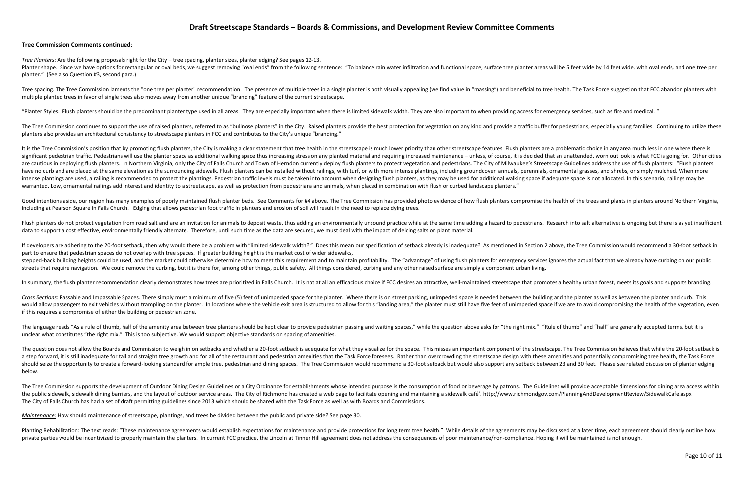### **Draft Streetscape Standards – Boards & Commissions, and Development Review Committee Comments**

### **Tree Commission Comments continued**:

*Tree Planters*: Are the following proposals right for the City – tree spacing, planter sizes, planter edging? See pages 12-13.

Planter shape. Since we have options for rectangular or oval beds, we suggest removing "oval ends" from the following sentence: "To balance rain water infiltration and functional space, surface tree planter areas will be 5 planter." (See also Question #3, second para.)

Tree spacing. The Tree Commission laments the "one tree per planter" recommendation. The presence of multiple trees in a single planter is both visually appealing (we find value in "massing") and beneficial to tree health. multiple planted trees in favor of single trees also moves away from another unique "branding" feature of the current streetscape.

"Planter Styles. Flush planters should be the predominant planter type used in all areas. They are especially important when there is limited sidewalk width. They are also important to when providing access for emergency s

The Tree Commission continues to support the use of raised planters, referred to as "bullnose planters" in the City. Raised planters provide the best protection for vegetation on any kind and provide a traffic buffer for p planters also provides an architectural consistency to streetscape planters in FCC and contributes to the City's unique "branding."

It is the Tree Commission's position that by promoting flush planters, the City is making a clear statement that tree health in the streetscape is much lower priority than other streetscape features. Flush planters are a p significant pedestrian traffic. Pedestrians will use the planter space as additional walking space thus increasing stress on any planted material and requiring increased maintenance - unless, of course, it is decided that are cautious in deploying flush planters. In Northern Virginia, only the City of Falls Church and Town of Herndon currently deploy flush planters to protect vegetation and pedestrians. The City of Milwaukee's Streetscape G have no curb and are placed at the same elevation as the surrounding sidewalk. Flush planters can be installed without railings, with turf, or with more intense plantings, including groundcover, annuals, perennials, orname intense plantings are used, a railing is recommended to protect the plantings. Pedestrian traffic levels must be taken into account when designing flush planters, as they may be used for additional walking space if adequat warranted. Low, ornamental railings add interest and identity to a streetscape, as well as protection from pedestrians and animals, when placed in combination with flush or curbed landscape planters."

Good intentions aside, our region has many examples of poorly maintained flush planter beds. See Comments for #4 above. The Tree Commission has provided photo evidence of how flush planters compromise the health of the tre including at Pearson Square in Falls Church. Edging that allows pedestrian foot traffic in planters and erosion of soil will result in the need to replace dying trees.

Flush planters do not protect vegetation from road salt and are an invitation for animals to deposit waste, thus adding an environmentally unsound practice while at the same time adding a hazard to pedestrians. Research in data to support a cost effective, environmentally friendly alternate. Therefore, until such time as the data are secured, we must deal with the impact of deicing salts on plant material.

If developers are adhering to the 20-foot setback, then why would there be a problem with "limited sidewalk width?." Does this mean our specification of setback already is inadequate? As mentioned in Section 2 above, the T part to ensure that pedestrian spaces do not overlap with tree spaces. If greater building height is the market cost of wider sidewalks, stepped-back building heights could be used, and the market could otherwise determine how to meet this requirement and to maintain profitability. The "advantage" of using flush planters for emergency services ignores the a streets that require navigation. We could remove the curbing, but it is there for, among other things, public safety. All things considered, curbing and any other raised surface are simply a component urban living.

In summary, the flush planter recommendation clearly demonstrates how trees are prioritized in Falls Church. It is not at all an efficacious choice if FCC desires an attractive, well-maintained streetscape that promotes a

Cross Sections: Passable and Impassable Spaces. There simply must a minimum of five (5) feet of unimpeded space for the planter. Where there is on street parking, unimpeded space is needed between the building and the plan would allow passengers to exit vehicles without trampling on the planter. In locations where the vehicle exit area is structured to allow for this "landing area," the planter must still have five feet of unimpeded space if if this requires a compromise of either the building or pedestrian zone.

The language reads "As a rule of thumb, half of the amenity area between tree planters should be kept clear to provide pedestrian passing and waiting spaces," while the question above asks for "the right mix." "Rule of thu unclear what constitutes "the right mix." This is too subjective. We would support objective standards on spacing of amenities.

The question does not allow the Boards and Commission to weigh in on setbacks and whether a 20-foot setback is adequate for what they visualize for the space. This misses an important component of the streetscape. The Tree a step forward, it is still inadequate for tall and straight tree growth and for all of the restaurant and pedestrian amenities that the Task Force foresees. Rather than overcrowding the streetscape design with these ameni should seize the opportunity to create a forward-looking standard for ample tree, pedestrian and dining spaces. The Tree Commission would recommend a 30-foot setback but would also support any setback between 23 and 30 fee below.

The Tree Commission supports the development of Outdoor Dining Design Guidelines or a City Ordinance for establishments whose intended purpose is the consumption of food or beverage by patrons. The Guidelines will provide the public sidewalk, sidewalk dining barriers, and the layout of outdoor service areas. The City of Richmond has created a web page to facilitate opening and maintaining a sidewalk café'. http://www.richmondgov.com/Plannin The City of Falls Church has had a set of draft permitting guidelines since 2013 which should be shared with the Task Force as well as with Boards and Commissions.

*Maintenance:* How should maintenance of streetscape, plantings, and trees be divided between the public and private side? See page 30.

Planting Rehabilitation: The text reads: "These maintenance agreements would establish expectations for maintenance and provide protections for long term tree health." While details of the agreements may be discussed at a private parties would be incentivized to properly maintain the planters. In current FCC practice, the Lincoln at Tinner Hill agreement does not address the consequences of poor maintenance/non-compliance. Hoping it will be